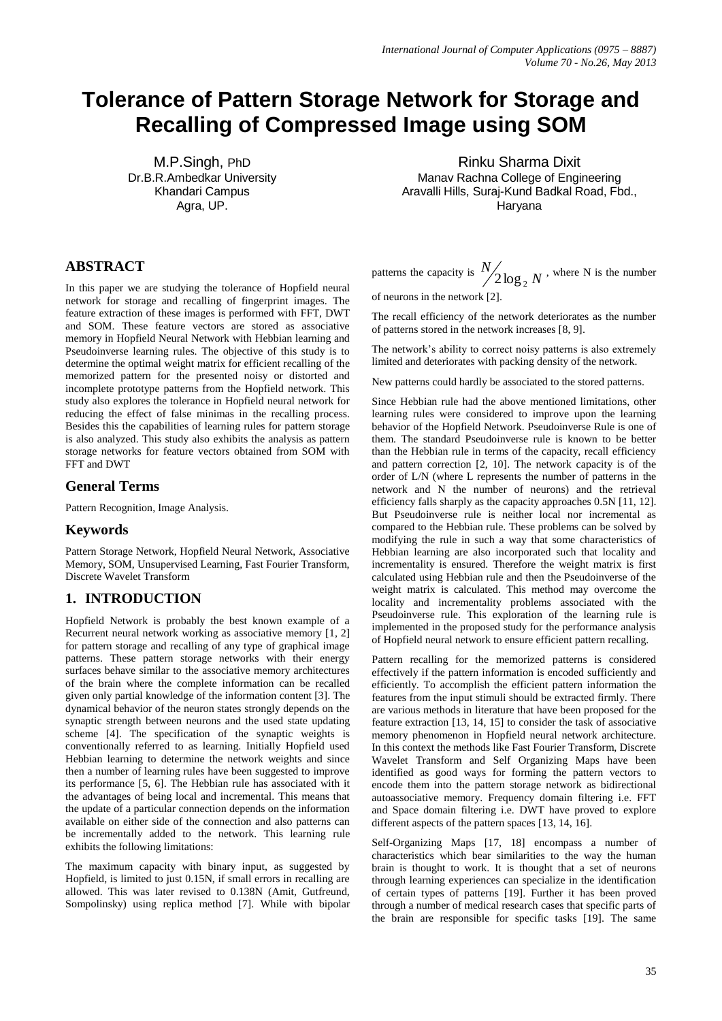# **Tolerance of Pattern Storage Network for Storage and Recalling of Compressed Image using SOM**

M.P.Singh, PhD Dr.B.R.Ambedkar University Khandari Campus Agra, UP.

Rinku Sharma Dixit Manav Rachna College of Engineering Aravalli Hills, Suraj-Kund Badkal Road, Fbd., Haryana

# **ABSTRACT**

In this paper we are studying the tolerance of Hopfield neural network for storage and recalling of fingerprint images. The feature extraction of these images is performed with FFT, DWT and SOM. These feature vectors are stored as associative memory in Hopfield Neural Network with Hebbian learning and Pseudoinverse learning rules. The objective of this study is to determine the optimal weight matrix for efficient recalling of the memorized pattern for the presented noisy or distorted and incomplete prototype patterns from the Hopfield network. This study also explores the tolerance in Hopfield neural network for reducing the effect of false minimas in the recalling process. Besides this the capabilities of learning rules for pattern storage is also analyzed. This study also exhibits the analysis as pattern storage networks for feature vectors obtained from SOM with FFT and DWT

## **General Terms**

Pattern Recognition, Image Analysis.

## **Keywords**

Pattern Storage Network, Hopfield Neural Network, Associative Memory, SOM, Unsupervised Learning, Fast Fourier Transform, Discrete Wavelet Transform

# **1. INTRODUCTION**

Hopfield Network is probably the best known example of a Recurrent neural network working as associative memory [1, 2] for pattern storage and recalling of any type of graphical image patterns. These pattern storage networks with their energy surfaces behave similar to the associative memory architectures of the brain where the complete information can be recalled given only partial knowledge of the information content [3]. The dynamical behavior of the neuron states strongly depends on the synaptic strength between neurons and the used state updating scheme [4]. The specification of the synaptic weights is conventionally referred to as learning. Initially Hopfield used Hebbian learning to determine the network weights and since then a number of learning rules have been suggested to improve its performance [5, 6]. The Hebbian rule has associated with it the advantages of being local and incremental. This means that the update of a particular connection depends on the information available on either side of the connection and also patterns can be incrementally added to the network. This learning rule exhibits the following limitations:

The maximum capacity with binary input, as suggested by Hopfield, is limited to just 0.15N, if small errors in recalling are allowed. This was later revised to 0.138N (Amit, Gutfreund, Sompolinsky) using replica method [7]. While with bipolar patterns the capacity is  $\frac{N}{2} \log_2 N$ *N*  $2\log_2 N$ , where N is the number

of neurons in the network [2].

The recall efficiency of the network deteriorates as the number of patterns stored in the network increases [8, 9].

The network's ability to correct noisy patterns is also extremely limited and deteriorates with packing density of the network.

New patterns could hardly be associated to the stored patterns.

Since Hebbian rule had the above mentioned limitations, other learning rules were considered to improve upon the learning behavior of the Hopfield Network. Pseudoinverse Rule is one of them. The standard Pseudoinverse rule is known to be better than the Hebbian rule in terms of the capacity, recall efficiency and pattern correction [2, 10]. The network capacity is of the order of L/N (where L represents the number of patterns in the network and N the number of neurons) and the retrieval efficiency falls sharply as the capacity approaches 0.5N [11, 12]. But Pseudoinverse rule is neither local nor incremental as compared to the Hebbian rule. These problems can be solved by modifying the rule in such a way that some characteristics of Hebbian learning are also incorporated such that locality and incrementality is ensured. Therefore the weight matrix is first calculated using Hebbian rule and then the Pseudoinverse of the weight matrix is calculated. This method may overcome the locality and incrementality problems associated with the Pseudoinverse rule. This exploration of the learning rule is implemented in the proposed study for the performance analysis of Hopfield neural network to ensure efficient pattern recalling.

Pattern recalling for the memorized patterns is considered effectively if the pattern information is encoded sufficiently and efficiently. To accomplish the efficient pattern information the features from the input stimuli should be extracted firmly. There are various methods in literature that have been proposed for the feature extraction [13, 14, 15] to consider the task of associative memory phenomenon in Hopfield neural network architecture. In this context the methods like Fast Fourier Transform, Discrete Wavelet Transform and Self Organizing Maps have been identified as good ways for forming the pattern vectors to encode them into the pattern storage network as bidirectional autoassociative memory. Frequency domain filtering i.e. FFT and Space domain filtering i.e. DWT have proved to explore different aspects of the pattern spaces [13, 14, 16].

Self-Organizing Maps [17, 18] encompass a number of characteristics which bear similarities to the way the human brain is thought to work. It is thought that a set of neurons through learning experiences can specialize in the identification of certain types of patterns [19]. Further it has been proved through a number of medical research cases that specific parts of the brain are responsible for specific tasks [19]. The same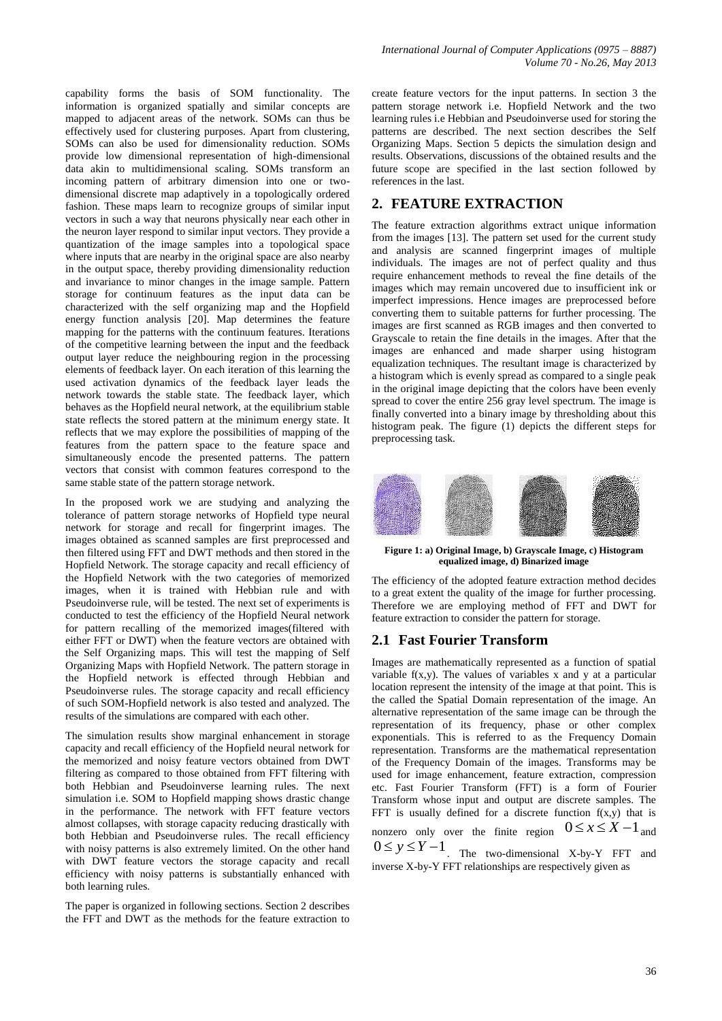capability forms the basis of SOM functionality. The information is organized spatially and similar concepts are mapped to adjacent areas of the network. SOMs can thus be effectively used for clustering purposes. Apart from clustering, SOMs can also be used for dimensionality reduction. SOMs provide low dimensional representation of high-dimensional data akin to multidimensional scaling. SOMs transform an incoming pattern of arbitrary dimension into one or twodimensional discrete map adaptively in a topologically ordered fashion. These maps learn to recognize groups of similar input vectors in such a way that neurons physically near each other in the neuron layer respond to similar input vectors. They provide a quantization of the image samples into a topological space where inputs that are nearby in the original space are also nearby in the output space, thereby providing dimensionality reduction and invariance to minor changes in the image sample. Pattern storage for continuum features as the input data can be characterized with the self organizing map and the Hopfield energy function analysis [20]. Map determines the feature mapping for the patterns with the continuum features. Iterations of the competitive learning between the input and the feedback output layer reduce the neighbouring region in the processing elements of feedback layer. On each iteration of this learning the used activation dynamics of the feedback layer leads the network towards the stable state. The feedback layer, which behaves as the Hopfield neural network, at the equilibrium stable state reflects the stored pattern at the minimum energy state. It reflects that we may explore the possibilities of mapping of the features from the pattern space to the feature space and simultaneously encode the presented patterns. The pattern vectors that consist with common features correspond to the same stable state of the pattern storage network.

In the proposed work we are studying and analyzing the tolerance of pattern storage networks of Hopfield type neural network for storage and recall for fingerprint images. The images obtained as scanned samples are first preprocessed and then filtered using FFT and DWT methods and then stored in the Hopfield Network. The storage capacity and recall efficiency of the Hopfield Network with the two categories of memorized images, when it is trained with Hebbian rule and with Pseudoinverse rule, will be tested. The next set of experiments is conducted to test the efficiency of the Hopfield Neural network for pattern recalling of the memorized images(filtered with either FFT or DWT) when the feature vectors are obtained with the Self Organizing maps. This will test the mapping of Self Organizing Maps with Hopfield Network. The pattern storage in the Hopfield network is effected through Hebbian and Pseudoinverse rules. The storage capacity and recall efficiency of such SOM-Hopfield network is also tested and analyzed. The results of the simulations are compared with each other.

The simulation results show marginal enhancement in storage capacity and recall efficiency of the Hopfield neural network for the memorized and noisy feature vectors obtained from DWT filtering as compared to those obtained from FFT filtering with both Hebbian and Pseudoinverse learning rules. The next simulation i.e. SOM to Hopfield mapping shows drastic change in the performance. The network with FFT feature vectors almost collapses, with storage capacity reducing drastically with both Hebbian and Pseudoinverse rules. The recall efficiency with noisy patterns is also extremely limited. On the other hand with DWT feature vectors the storage capacity and recall efficiency with noisy patterns is substantially enhanced with both learning rules.

The paper is organized in following sections. Section 2 describes the FFT and DWT as the methods for the feature extraction to

create feature vectors for the input patterns. In section 3 the pattern storage network i.e. Hopfield Network and the two learning rules i.e Hebbian and Pseudoinverse used for storing the patterns are described. The next section describes the Self Organizing Maps. Section 5 depicts the simulation design and results. Observations, discussions of the obtained results and the future scope are specified in the last section followed by references in the last.

# **2. FEATURE EXTRACTION**

The feature extraction algorithms extract unique information from the images [13]. The pattern set used for the current study and analysis are scanned fingerprint images of multiple individuals. The images are not of perfect quality and thus require enhancement methods to reveal the fine details of the images which may remain uncovered due to insufficient ink or imperfect impressions. Hence images are preprocessed before converting them to suitable patterns for further processing. The images are first scanned as RGB images and then converted to Grayscale to retain the fine details in the images. After that the images are enhanced and made sharper using histogram equalization techniques. The resultant image is characterized by a histogram which is evenly spread as compared to a single peak in the original image depicting that the colors have been evenly spread to cover the entire 256 gray level spectrum. The image is finally converted into a binary image by thresholding about this histogram peak. The figure (1) depicts the different steps for preprocessing task.



**Figure 1: a) Original Image, b) Grayscale Image, c) Histogram equalized image, d) Binarized image**

The efficiency of the adopted feature extraction method decides to a great extent the quality of the image for further processing. Therefore we are employing method of FFT and DWT for feature extraction to consider the pattern for storage.

# **2.1 Fast Fourier Transform**

Images are mathematically represented as a function of spatial variable  $f(x,y)$ . The values of variables x and y at a particular location represent the intensity of the image at that point. This is the called the Spatial Domain representation of the image. An alternative representation of the same image can be through the representation of its frequency, phase or other complex exponentials. This is referred to as the Frequency Domain representation. Transforms are the mathematical representation of the Frequency Domain of the images. Transforms may be used for image enhancement, feature extraction, compression etc. Fast Fourier Transform (FFT) is a form of Fourier Transform whose input and output are discrete samples. The FFT is usually defined for a discrete function  $f(x,y)$  that is nonzero only over the finite region  $0 \le x \le X-1$  and  $0 \le y \le Y-1$ 

. The two-dimensional X-by-Y FFT and inverse X-by-Y FFT relationships are respectively given as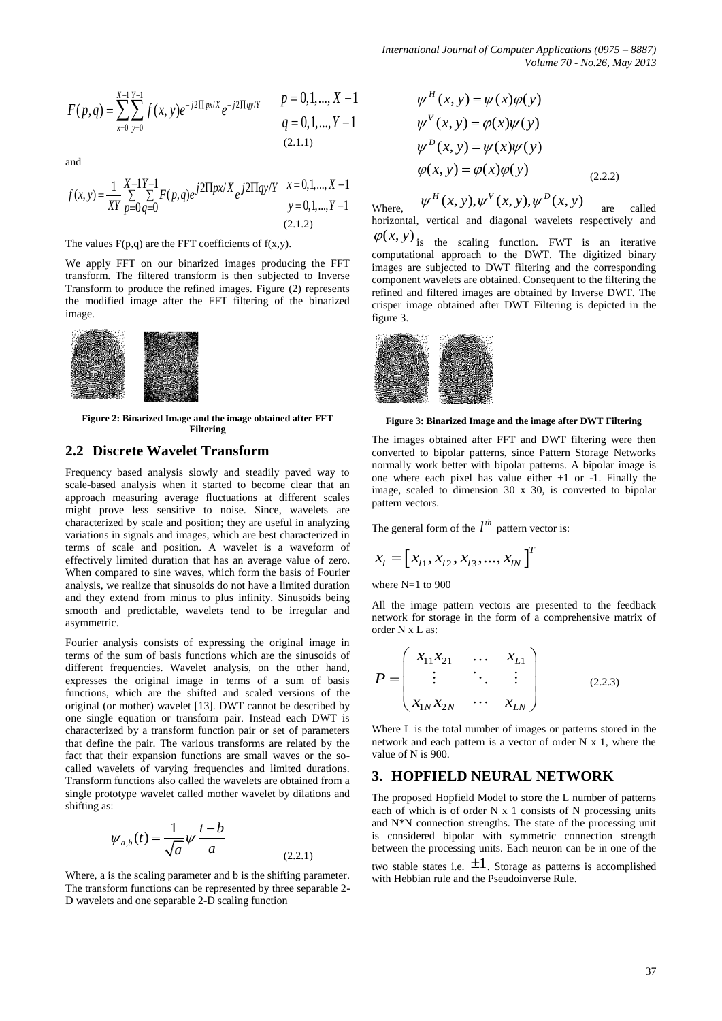$$
F(p,q) = \sum_{x=0}^{X-1} \sum_{y=0}^{Y-1} f(x,y)e^{-j2\prod px/X} e^{-j2\prod qy/Y}
$$
  $p = 0,1,..., X-1$   
  $q = 0,1,..., Y-1$   
(2.1.1)

and

and  
\n
$$
f(x,y) = \frac{1}{XY} \sum_{p=0}^{X-1} \sum_{q=0}^{Y-1} F(p,q)e^{j2\prod px/X} e^{j2\prod qy/Y} \frac{x=0,1,...,X-1}{y=0,1,...,Y-1}
$$
\nwhen

The values  $F(p,q)$  are the FFT coefficients of  $f(x,y)$ .

We apply FFT on our binarized images producing the FFT transform. The filtered transform is then subjected to Inverse Transform to produce the refined images. Figure (2) represents the modified image after the FFT filtering of the binarized image.



**Figure 2: Binarized Image and the image obtained after FFT Filtering**

# **2.2 Discrete Wavelet Transform**

Frequency based analysis slowly and steadily paved way to scale-based analysis when it started to become clear that an approach measuring average fluctuations at different scales might prove less sensitive to noise. Since, wavelets are characterized by scale and position; they are useful in analyzing variations in signals and images, which are best characterized in terms of scale and position. A wavelet is a waveform of effectively limited duration that has an average value of zero. When compared to sine waves, which form the basis of Fourier analysis, we realize that sinusoids do not have a limited duration and they extend from minus to plus infinity. Sinusoids being smooth and predictable, wavelets tend to be irregular and asymmetric.

Fourier analysis consists of expressing the original image in terms of the sum of basis functions which are the sinusoids of different frequencies. Wavelet analysis, on the other hand, expresses the original image in terms of a sum of basis functions, which are the shifted and scaled versions of the original (or mother) wavelet [13]. DWT cannot be described by one single equation or transform pair. Instead each DWT is characterized by a transform function pair or set of parameters that define the pair. The various transforms are related by the fact that their expansion functions are small waves or the socalled wavelets of varying frequencies and limited durations. Transform functions also called the wavelets are obtained from a single prototype wavelet called mother wavelet by dilations and shifting as:

$$
\psi_{a,b}(t) = \frac{1}{\sqrt{a}} \psi \frac{t - b}{a}
$$
\n(2.2.1)

Where, a is the scaling parameter and b is the shifting parameter. The transform functions can be represented by three separable 2- D wavelets and one separable 2-D scaling function

$$
\psi^H(x, y) = \psi(x)\phi(y)
$$
  

$$
\psi^V(x, y) = \phi(x)\psi(y)
$$
  

$$
\psi^D(x, y) = \psi(x)\psi(y)
$$
  

$$
\phi(x, y) = \phi(x)\phi(y)
$$
 (2.2.2)

Where,  $\psi^H(x, y), \psi^V(x, y), \psi^D(x, y)$ are called horizontal, vertical and diagonal wavelets respectively and

 $\varphi(x, y)$  is the scaling function. FWT is an iterative computational approach to the DWT. The digitized binary images are subjected to DWT filtering and the corresponding component wavelets are obtained. Consequent to the filtering the refined and filtered images are obtained by Inverse DWT. The crisper image obtained after DWT Filtering is depicted in the figure 3.



**Figure 3: Binarized Image and the image after DWT Filtering** 

The images obtained after FFT and DWT filtering were then converted to bipolar patterns, since Pattern Storage Networks normally work better with bipolar patterns. A bipolar image is one where each pixel has value either +1 or -1. Finally the image, scaled to dimension 30 x 30, is converted to bipolar pattern vectors.

The general form of the  $l^{th}$  pattern vector is:

$$
x_{l} = \left[x_{l1}, x_{l2}, x_{l3}, ..., x_{lN}\right]^T
$$

where N=1 to 900

All the image pattern vectors are presented to the feedback network for storage in the form of a comprehensive matrix of order N x L as:

$$
P = \begin{pmatrix} x_{11}x_{21} & \dots & x_{L1} \\ \vdots & \ddots & \vdots \\ x_{1N}x_{2N} & \dots & x_{LN} \end{pmatrix}
$$
 (2.2.3)

Where L is the total number of images or patterns stored in the network and each pattern is a vector of order N x 1, where the value of N is 900.

## **3. HOPFIELD NEURAL NETWORK**

The proposed Hopfield Model to store the L number of patterns each of which is of order N x 1 consists of N processing units and N\*N connection strengths. The state of the processing unit is considered bipolar with symmetric connection strength between the processing units. Each neuron can be in one of the

two stable states i.e.  $\pm 1$ . Storage as patterns is accomplished with Hebbian rule and the Pseudoinverse Rule.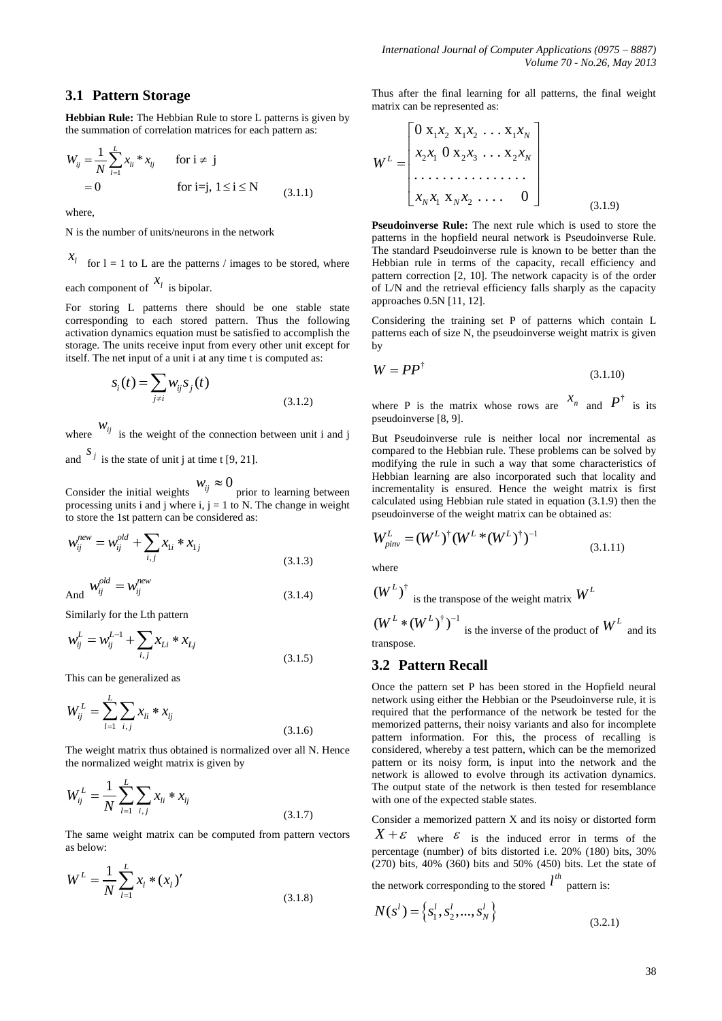## **3.1 Pattern Storage**

**Hebbian Rule:** The Hebbian Rule to store L patterns is given by the summation of correlation matrices for each pattern as:

$$
W_{ij} = \frac{1}{N} \sum_{l=1}^{L} x_{li} * x_{lj} \quad \text{for } i \neq j
$$
  
= 0 \quad \text{for } i = j, 1 \le i \le N \quad (3.1.1)

where,

N is the number of units/neurons in the network

*l x* for  $l = 1$  to L are the patterns / images to be stored, where each component of  $x_l$  is bipolar.

For storing L patterns there should be one stable state corresponding to each stored pattern. Thus the following activation dynamics equation must be satisfied to accomplish the storage. The units receive input from every other unit except for itself. The net input of a unit i at any time t is computed as:

$$
S_i(t) = \sum_{j \neq i} W_{ij} S_j(t)
$$
\n(3.1.2)

where  $w_{ij}$  is the weight of the connection between unit i and j and  $S_j$  is the state of unit j at time t [9, 21].

Consider the initial weights  $w_{ij} \approx 0$  prior to learning between processing units i and j where i,  $j = 1$  to N. The change in weight to store the 1st pattern can be considered as:

$$
w_{ij}^{new} = w_{ij}^{old} + \sum_{i,j} x_{1i} * x_{1j}
$$
 (3.1.3)

And 
$$
W_{ij}^{old} = W_{ij}^{new}
$$
 (3.1.4)

Similarly for the Lth pattern

$$
w_{ij}^L = w_{ij}^{L-1} + \sum_{i,j} x_{Li} * x_{Lj}
$$
\n(3.1.5)

This can be generalized as

$$
W_{ij}^L = \sum_{l=1}^L \sum_{i,j} x_{li} * x_{lj}
$$
\n(3.1.6)

The weight matrix thus obtained is normalized over all N. Hence the normalized weight matrix is given by

$$
W_{ij}^L = \frac{1}{N} \sum_{l=1}^{L} \sum_{i,j} x_{li} * x_{lj}
$$
\n(3.1.7)

The same weight matrix can be computed from pattern vectors as below:

$$
W^{L} = \frac{1}{N} \sum_{l=1}^{L} x_{l} * (x_{l})' \tag{3.1.8}
$$

Thus after the final learning for all patterns, the final weight matrix can be represented as:

$$
W^{L} = \begin{bmatrix} 0 & x_1 x_2 & x_1 x_2 & \dots & x_1 x_N \\ x_2 x_1 & 0 & x_2 x_3 & \dots & x_2 x_N \\ \dots & \dots & \dots & \dots & \dots \\ x_N x_1 & x_N x_2 & \dots & 0 \end{bmatrix}
$$
 (3.1.9)

**Pseudoinverse Rule:** The next rule which is used to store the patterns in the hopfield neural network is Pseudoinverse Rule. The standard Pseudoinverse rule is known to be better than the Hebbian rule in terms of the capacity, recall efficiency and pattern correction [2, 10]. The network capacity is of the order of L/N and the retrieval efficiency falls sharply as the capacity approaches 0.5N [11, 12].

Considering the training set P of patterns which contain L patterns each of size N, the pseudoinverse weight matrix is given by

$$
W = PP^{\dagger} \tag{3.1.10}
$$

where P is the matrix whose rows are  $x_n$  and  $P^{\dagger}$  is its pseudoinverse [8, 9].

But Pseudoinverse rule is neither local nor incremental as compared to the Hebbian rule. These problems can be solved by modifying the rule in such a way that some characteristics of Hebbian learning are also incorporated such that locality and incrementality is ensured. Hence the weight matrix is first calculated using Hebbian rule stated in equation (3.1.9) then the pseudoinverse of the weight matrix can be obtained as:

$$
W_{pinv}^L = (W^L)^\dagger (W^L * (W^L)^\dagger)^{-1}
$$
\n(3.1.11)

where

$$
(W^L)^\dagger
$$
 is the transpose of the weight matrix  $W^L$ 

 $(W^L * (W^L)^{\dagger})^{-1}$  is the inverse of the product of  $W^L$  and its transpose.

## **3.2 Pattern Recall**

Once the pattern set P has been stored in the Hopfield neural network using either the Hebbian or the Pseudoinverse rule, it is required that the performance of the network be tested for the memorized patterns, their noisy variants and also for incomplete pattern information. For this, the process of recalling is considered, whereby a test pattern, which can be the memorized pattern or its noisy form, is input into the network and the network is allowed to evolve through its activation dynamics. The output state of the network is then tested for resemblance with one of the expected stable states.

Consider a memorized pattern X and its noisy or distorted form

 $X + \varepsilon$  where  $\varepsilon$  is the induced error in terms of the percentage (number) of bits distorted i.e. 20% (180) bits, 30%  $(270)$  bits, 40% (360) bits and 50% (450) bits. Let the state of

the network corresponding to the stored  $l^{th}$  pattern is:

$$
N(s^l) = \left\{ s_1^l, s_2^l, ..., s_N^l \right\}
$$
\n(3.2.1)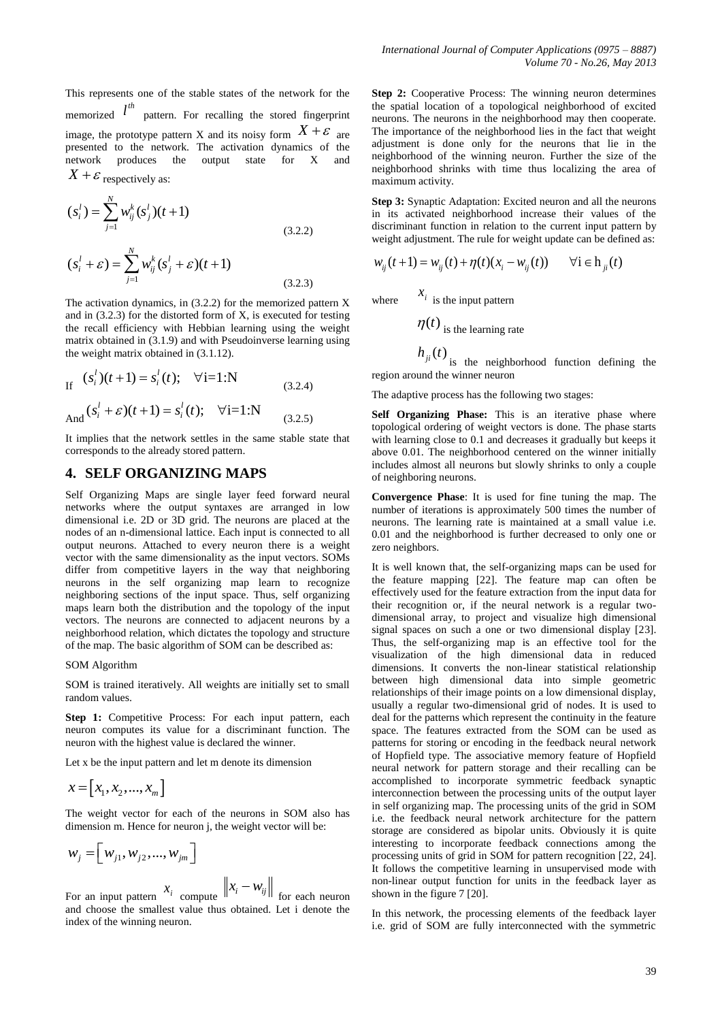This represents one of the stable states of the network for the memorized  $l^{th}$ pattern. For recalling the stored fingerprint image, the prototype pattern X and its noisy form  $X + \varepsilon$  are presented to the network. The activation dynamics of the network produces the output state for X and  $X + \varepsilon$  respectively as:

$$
(s_i^l) = \sum_{j=1}^N w_{ij}^k (s_j^l)(t+1)
$$
  

$$
(s_i^l + \varepsilon) = \sum_{j=1}^N w_{ij}^k (s_j^l + \varepsilon)(t+1)
$$
 (3.2.2)

1 *j*

The activation dynamics, in  $(3.2.2)$  for the memorized pattern X and in (3.2.3) for the distorted form of X, is executed for testing the recall efficiency with Hebbian learning using the weight matrix obtained in (3.1.9) and with Pseudoinverse learning using the weight matrix obtained in (3.1.12).

(3.2.3)

If 
$$
(s_i^l)(t+1) = s_i^l(t); \quad \forall i=1:N
$$
 (3.2.4)

And 
$$
(s_i^l + \varepsilon)(t+1) = s_i^l(t); \quad \forall i=1:N
$$
 (3.2.5)

It implies that the network settles in the same stable state that corresponds to the already stored pattern.

# **4. SELF ORGANIZING MAPS**

Self Organizing Maps are single layer feed forward neural networks where the output syntaxes are arranged in low dimensional i.e. 2D or 3D grid. The neurons are placed at the nodes of an n-dimensional lattice. Each input is connected to all output neurons. Attached to every neuron there is a weight vector with the same dimensionality as the input vectors. SOMs differ from competitive layers in the way that neighboring neurons in the self organizing map learn to recognize neighboring sections of the input space. Thus, self organizing maps learn both the distribution and the topology of the input vectors. The neurons are connected to adjacent neurons by a neighborhood relation, which dictates the topology and structure of the map. The basic algorithm of SOM can be described as:

#### SOM Algorithm

SOM is trained iteratively. All weights are initially set to small random values.

Step 1: Competitive Process: For each input pattern, each neuron computes its value for a discriminant function. The neuron with the highest value is declared the winner.

Let x be the input pattern and let m denote its dimension

$$
x = \begin{bmatrix} x_1, x_2, ..., x_m \end{bmatrix}
$$

The weight vector for each of the neurons in SOM also has dimension m. Hence for neuron j, the weight vector will be:

$$
w_{j} = \left[ w_{j1}, w_{j2}, ..., w_{jm} \right]
$$
  

$$
x_{j} = \begin{bmatrix} x_{j} & x_{j} & x_{j} \end{bmatrix}
$$

For an input pattern  $x_i$  compute  $\left\|x_i - w_{ij}\right\|$  for each neuron and choose the smallest value thus obtained. Let i denote the index of the winning neuron.

**Step 2:** Cooperative Process: The winning neuron determines the spatial location of a topological neighborhood of excited neurons. The neurons in the neighborhood may then cooperate. The importance of the neighborhood lies in the fact that weight adjustment is done only for the neurons that lie in the neighborhood of the winning neuron. Further the size of the neighborhood shrinks with time thus localizing the area of maximum activity.

**Step 3:** Synaptic Adaptation: Excited neuron and all the neurons in its activated neighborhood increase their values of the discriminant function in relation to the current input pattern by weight adjustment. The rule for weight update can be defined as:<br>  $w_{ij}(t+1) = w_{ij}(t) + \eta(t)(x_i - w_{ij}(t)) \quad \forall i \in h_{ji}(t)$ 

$$
w_{ii}(t+1) = w_{ii}(t) + \eta(t)(x_i - w_{ii}(t)) \qquad \forall i \in h_{ii}(t)
$$

where  $x_i$  is the input pattern

$$
\eta(t)
$$
 is the learning rate

$$
h_n(t)
$$

 $h_{ji}(t)$  is the neighborhood function defining the region around the winner neuron

The adaptive process has the following two stages:

**Self Organizing Phase:** This is an iterative phase where topological ordering of weight vectors is done. The phase starts with learning close to 0.1 and decreases it gradually but keeps it above 0.01. The neighborhood centered on the winner initially includes almost all neurons but slowly shrinks to only a couple of neighboring neurons.

**Convergence Phase**: It is used for fine tuning the map. The number of iterations is approximately 500 times the number of neurons. The learning rate is maintained at a small value i.e. 0.01 and the neighborhood is further decreased to only one or zero neighbors.

It is well known that, the self-organizing maps can be used for the feature mapping [22]. The feature map can often be effectively used for the feature extraction from the input data for their recognition or, if the neural network is a regular twodimensional array, to project and visualize high dimensional signal spaces on such a one or two dimensional display [23]. Thus, the self-organizing map is an effective tool for the visualization of the high dimensional data in reduced dimensions. It converts the non-linear statistical relationship between high dimensional data into simple geometric relationships of their image points on a low dimensional display, usually a regular two-dimensional grid of nodes. It is used to deal for the patterns which represent the continuity in the feature space. The features extracted from the SOM can be used as patterns for storing or encoding in the feedback neural network of Hopfield type. The associative memory feature of Hopfield neural network for pattern storage and their recalling can be accomplished to incorporate symmetric feedback synaptic interconnection between the processing units of the output layer in self organizing map. The processing units of the grid in SOM i.e. the feedback neural network architecture for the pattern storage are considered as bipolar units. Obviously it is quite interesting to incorporate feedback connections among the processing units of grid in SOM for pattern recognition [22, 24]. It follows the competitive learning in unsupervised mode with non-linear output function for units in the feedback layer as shown in the figure 7 [20].

In this network, the processing elements of the feedback layer i.e. grid of SOM are fully interconnected with the symmetric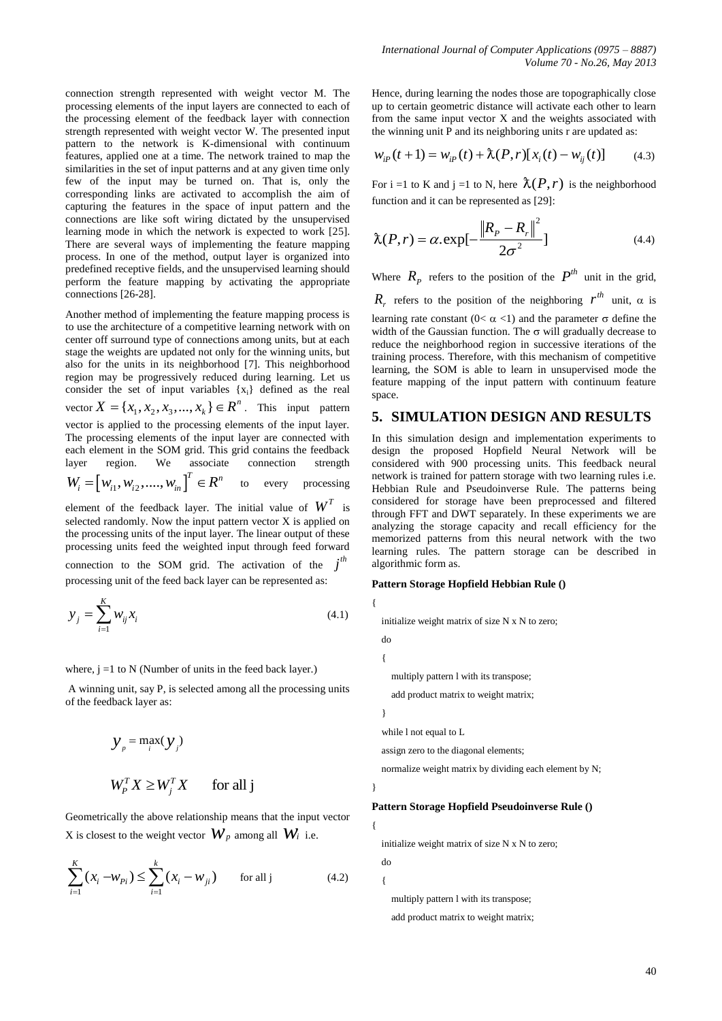connection strength represented with weight vector M. The processing elements of the input layers are connected to each of the processing element of the feedback layer with connection strength represented with weight vector W. The presented input pattern to the network is K-dimensional with continuum features, applied one at a time. The network trained to map the similarities in the set of input patterns and at any given time only few of the input may be turned on. That is, only the corresponding links are activated to accomplish the aim of capturing the features in the space of input pattern and the connections are like soft wiring dictated by the unsupervised learning mode in which the network is expected to work [25]. There are several ways of implementing the feature mapping process. In one of the method, output layer is organized into predefined receptive fields, and the unsupervised learning should perform the feature mapping by activating the appropriate connections [26-28].

Another method of implementing the feature mapping process is to use the architecture of a competitive learning network with on center off surround type of connections among units, but at each stage the weights are updated not only for the winning units, but also for the units in its neighborhood [7]. This neighborhood region may be progressively reduced during learning. Let us consider the set of input variables {xi} defined as the real vector  $X = \{x_1, x_2, x_3, ..., x_k\} \in \mathbb{R}^n$ . This input pattern vector is applied to the processing elements of the input layer. The processing elements of the input layer are connected with each element in the SOM grid. This grid contains the feedback<br>layer region. We associate connection strength layer region. We associate connection strength  $W_i = [W_{i1}, W_{i2}, ..., W_{in}]^T \in R^n$ to every processing

element of the feedback layer. The initial value of  $W^T$  is selected randomly. Now the input pattern vector X is applied on the processing units of the input layer. The linear output of these processing units feed the weighted input through feed forward connection to the SOM grid. The activation of the  $j<sup>th</sup>$ processing unit of the feed back layer can be represented as:

$$
y_j = \sum_{i=1}^{K} w_{ij} x_i
$$
\n
$$
(4.1)
$$

where,  $j = 1$  to N (Number of units in the feed back layer.)

A winning unit, say P, is selected among all the processing units of the feedback layer as:

$$
y_{p} = \max_{i}(y_{j})
$$
  

$$
W_{p}^{T} X \ge W_{j}^{T} X \quad \text{for all } j
$$

Geometrically the above relationship means that the input vector  $X$  is closest to the weight vector  $W_p$  among all  $W_i$  i.e.

$$
\sum_{i=1}^{K} (x_i - w_{pi}) \le \sum_{i=1}^{k} (x_i - w_{ji}) \quad \text{for all } j \tag{4.2}
$$

Hence, during learning the nodes those are topographically close up to certain geometric distance will activate each other to learn from the same input vector X and the weights associated with the winning unit P and its neighboring units r are updated as:

$$
w_{ip}(t+1) = w_{ip}(t) + \lambda(P, r)[x_i(t) - w_{ij}(t)] \tag{4.3}
$$

For i =1 to K and j =1 to N, here  $\lambda(P, r)$  is the neighborhood function and it can be represented as [29]:

$$
\hat{\lambda}(P,r) = \alpha \exp\left[-\frac{\left\|R_{P} - R_{r}\right\|^{2}}{2\sigma^{2}}\right]
$$
\n(4.4)

Where  $R_p$  refers to the position of the  $P^{th}$  unit in the grid,  $R_r$  refers to the position of the neighboring  $r^{th}$  unit,  $\alpha$  is learning rate constant  $(0< \alpha < 1)$  and the parameter  $\sigma$  define the width of the Gaussian function. The  $\sigma$  will gradually decrease to reduce the neighborhood region in successive iterations of the training process. Therefore, with this mechanism of competitive learning, the SOM is able to learn in unsupervised mode the feature mapping of the input pattern with continuum feature space.

## **5. SIMULATION DESIGN AND RESULTS**

In this simulation design and implementation experiments to design the proposed Hopfield Neural Network will be considered with 900 processing units. This feedback neural network is trained for pattern storage with two learning rules i.e. Hebbian Rule and Pseudoinverse Rule. The patterns being considered for storage have been preprocessed and filtered through FFT and DWT separately. In these experiments we are analyzing the storage capacity and recall efficiency for the memorized patterns from this neural network with the two learning rules. The pattern storage can be described in algorithmic form as.

#### **Pattern Storage Hopfield Hebbian Rule ()**

initialize weight matrix of size N x N to zero;

multiply pattern l with its transpose;

add product matrix to weight matrix;

}

}

{

 do {

{

while l not equal to L

assign zero to the diagonal elements;

normalize weight matrix by dividing each element by N;

#### **Pattern Storage Hopfield Pseudoinverse Rule ()**

initialize weight matrix of size N x N to zero;

do

{

 multiply pattern l with its transpose; add product matrix to weight matrix;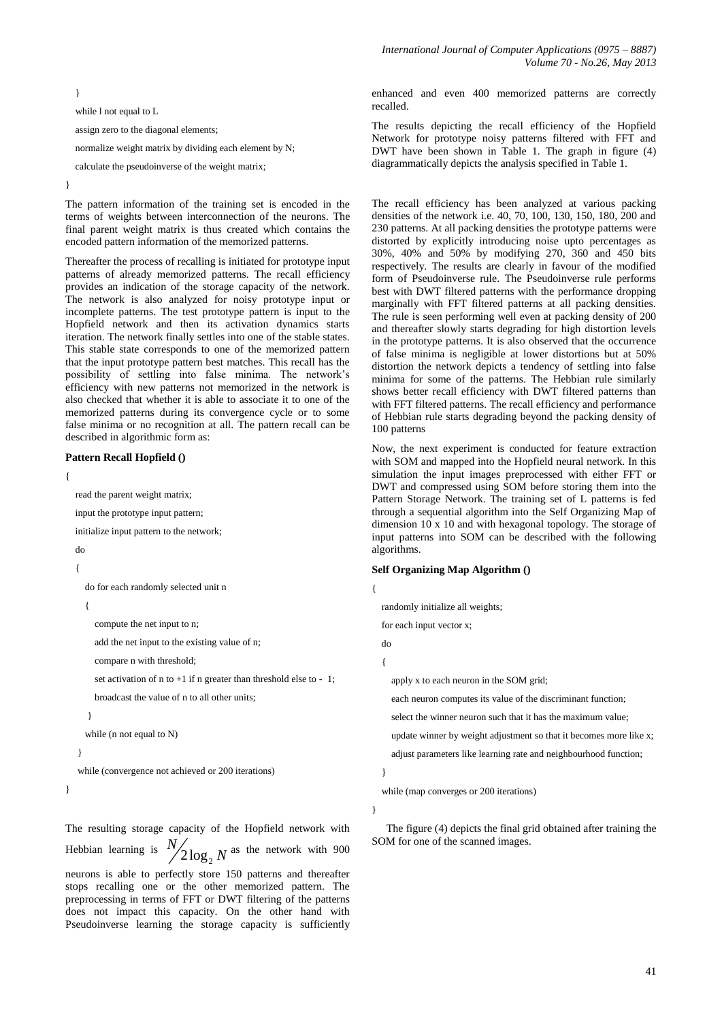}

while l not equal to L

assign zero to the diagonal elements;

normalize weight matrix by dividing each element by N;

calculate the pseudoinverse of the weight matrix;

}

The pattern information of the training set is encoded in the terms of weights between interconnection of the neurons. The final parent weight matrix is thus created which contains the encoded pattern information of the memorized patterns.

Thereafter the process of recalling is initiated for prototype input patterns of already memorized patterns. The recall efficiency provides an indication of the storage capacity of the network. The network is also analyzed for noisy prototype input or incomplete patterns. The test prototype pattern is input to the Hopfield network and then its activation dynamics starts iteration. The network finally settles into one of the stable states. This stable state corresponds to one of the memorized pattern that the input prototype pattern best matches. This recall has the possibility of settling into false minima. The network's efficiency with new patterns not memorized in the network is also checked that whether it is able to associate it to one of the memorized patterns during its convergence cycle or to some false minima or no recognition at all. The pattern recall can be described in algorithmic form as:

#### **Pattern Recall Hopfield ()**

{

read the parent weight matrix;

input the prototype input pattern;

initialize input pattern to the network;

do

 $\left\{ \right.$ 

do for each randomly selected unit n

{

compute the net input to n;

add the net input to the existing value of n;

compare n with threshold;

set activation of n to  $+1$  if n greater than threshold else to  $-1$ ;

broadcast the value of n to all other units;

}

while (n not equal to N)

```
 }
```
while (convergence not achieved or 200 iterations)

}

The resulting storage capacity of the Hopfield network with Hebbian learning is  $2\log_{2}$ *N N* as the network with 900 neurons is able to perfectly store 150 patterns and thereafter stops recalling one or the other memorized pattern. The preprocessing in terms of FFT or DWT filtering of the patterns

does not impact this capacity. On the other hand with Pseudoinverse learning the storage capacity is sufficiently

enhanced and even 400 memorized patterns are correctly recalled.

The results depicting the recall efficiency of the Hopfield Network for prototype noisy patterns filtered with FFT and DWT have been shown in Table 1. The graph in figure (4) diagrammatically depicts the analysis specified in Table 1.

The recall efficiency has been analyzed at various packing densities of the network i.e. 40, 70, 100, 130, 150, 180, 200 and 230 patterns. At all packing densities the prototype patterns were distorted by explicitly introducing noise upto percentages as 30%, 40% and 50% by modifying 270, 360 and 450 bits respectively. The results are clearly in favour of the modified form of Pseudoinverse rule. The Pseudoinverse rule performs best with DWT filtered patterns with the performance dropping marginally with FFT filtered patterns at all packing densities. The rule is seen performing well even at packing density of 200 and thereafter slowly starts degrading for high distortion levels in the prototype patterns. It is also observed that the occurrence of false minima is negligible at lower distortions but at 50% distortion the network depicts a tendency of settling into false minima for some of the patterns. The Hebbian rule similarly shows better recall efficiency with DWT filtered patterns than with FFT filtered patterns. The recall efficiency and performance of Hebbian rule starts degrading beyond the packing density of 100 patterns

Now, the next experiment is conducted for feature extraction with SOM and mapped into the Hopfield neural network. In this simulation the input images preprocessed with either FFT or DWT and compressed using SOM before storing them into the Pattern Storage Network. The training set of L patterns is fed through a sequential algorithm into the Self Organizing Map of dimension 10 x 10 and with hexagonal topology. The storage of input patterns into SOM can be described with the following algorithms.

#### **Self Organizing Map Algorithm ()**

{

randomly initialize all weights;

for each input vector x;

do

{

apply x to each neuron in the SOM grid;

each neuron computes its value of the discriminant function;

select the winner neuron such that it has the maximum value;

update winner by weight adjustment so that it becomes more like x;

adjust parameters like learning rate and neighbourhood function;

}

while (map converges or 200 iterations)

}

The figure (4) depicts the final grid obtained after training the SOM for one of the scanned images.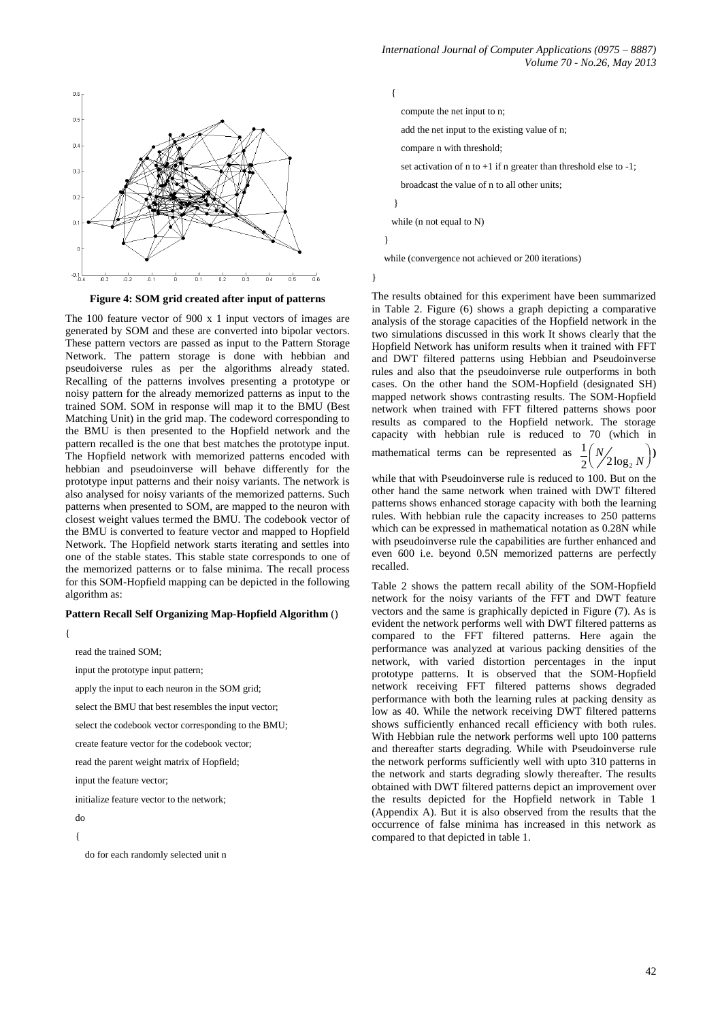

**Figure 4: SOM grid created after input of patterns**

The 100 feature vector of 900 x 1 input vectors of images are generated by SOM and these are converted into bipolar vectors. These pattern vectors are passed as input to the Pattern Storage Network. The pattern storage is done with hebbian and pseudoiverse rules as per the algorithms already stated. Recalling of the patterns involves presenting a prototype or noisy pattern for the already memorized patterns as input to the trained SOM. SOM in response will map it to the BMU (Best Matching Unit) in the grid map. The codeword corresponding to the BMU is then presented to the Hopfield network and the pattern recalled is the one that best matches the prototype input. The Hopfield network with memorized patterns encoded with hebbian and pseudoinverse will behave differently for the prototype input patterns and their noisy variants. The network is also analysed for noisy variants of the memorized patterns. Such patterns when presented to SOM, are mapped to the neuron with closest weight values termed the BMU. The codebook vector of the BMU is converted to feature vector and mapped to Hopfield Network. The Hopfield network starts iterating and settles into one of the stable states. This stable state corresponds to one of the memorized patterns or to false minima. The recall process for this SOM-Hopfield mapping can be depicted in the following algorithm as:

#### **Pattern Recall Self Organizing Map-Hopfield Algorithm** ()

{

read the trained SOM;

input the prototype input pattern;

apply the input to each neuron in the SOM grid;

select the BMU that best resembles the input vector;

select the codebook vector corresponding to the BMU;

create feature vector for the codebook vector;

read the parent weight matrix of Hopfield;

input the feature vector:

initialize feature vector to the network;

do

 $\{$ 

do for each randomly selected unit n

 { compute the net input to n; add the net input to the existing value of n; compare n with threshold; set activation of n to  $+1$  if n greater than threshold else to  $-1$ ; broadcast the value of n to all other units; } while (n not equal to N) }

while (convergence not achieved or 200 iterations)

}

The results obtained for this experiment have been summarized in Table 2. Figure (6) shows a graph depicting a comparative analysis of the storage capacities of the Hopfield network in the two simulations discussed in this work It shows clearly that the Hopfield Network has uniform results when it trained with FFT and DWT filtered patterns using Hebbian and Pseudoinverse rules and also that the pseudoinverse rule outperforms in both cases. On the other hand the SOM-Hopfield (designated SH) mapped network shows contrasting results. The SOM-Hopfield network when trained with FFT filtered patterns shows poor results as compared to the Hopfield network. The storage capacity with hebbian rule is reduced to 70 (which in mathematical terms can be represented as 1  $\frac{1}{2} \left( \frac{N}{2 \log_2 N} \right)$ **)** 

while that with Pseudoinverse rule is reduced to 100. But on the other hand the same network when trained with DWT filtered patterns shows enhanced storage capacity with both the learning rules. With hebbian rule the capacity increases to 250 patterns which can be expressed in mathematical notation as 0.28N while with pseudoinverse rule the capabilities are further enhanced and even 600 i.e. beyond 0.5N memorized patterns are perfectly recalled.

Table 2 shows the pattern recall ability of the SOM-Hopfield network for the noisy variants of the FFT and DWT feature vectors and the same is graphically depicted in Figure (7). As is evident the network performs well with DWT filtered patterns as compared to the FFT filtered patterns. Here again the performance was analyzed at various packing densities of the network, with varied distortion percentages in the input prototype patterns. It is observed that the SOM-Hopfield network receiving FFT filtered patterns shows degraded performance with both the learning rules at packing density as low as 40. While the network receiving DWT filtered patterns shows sufficiently enhanced recall efficiency with both rules. With Hebbian rule the network performs well upto 100 patterns and thereafter starts degrading. While with Pseudoinverse rule the network performs sufficiently well with upto 310 patterns in the network and starts degrading slowly thereafter. The results obtained with DWT filtered patterns depict an improvement over the results depicted for the Hopfield network in Table 1 (Appendix A). But it is also observed from the results that the occurrence of false minima has increased in this network as compared to that depicted in table 1.

2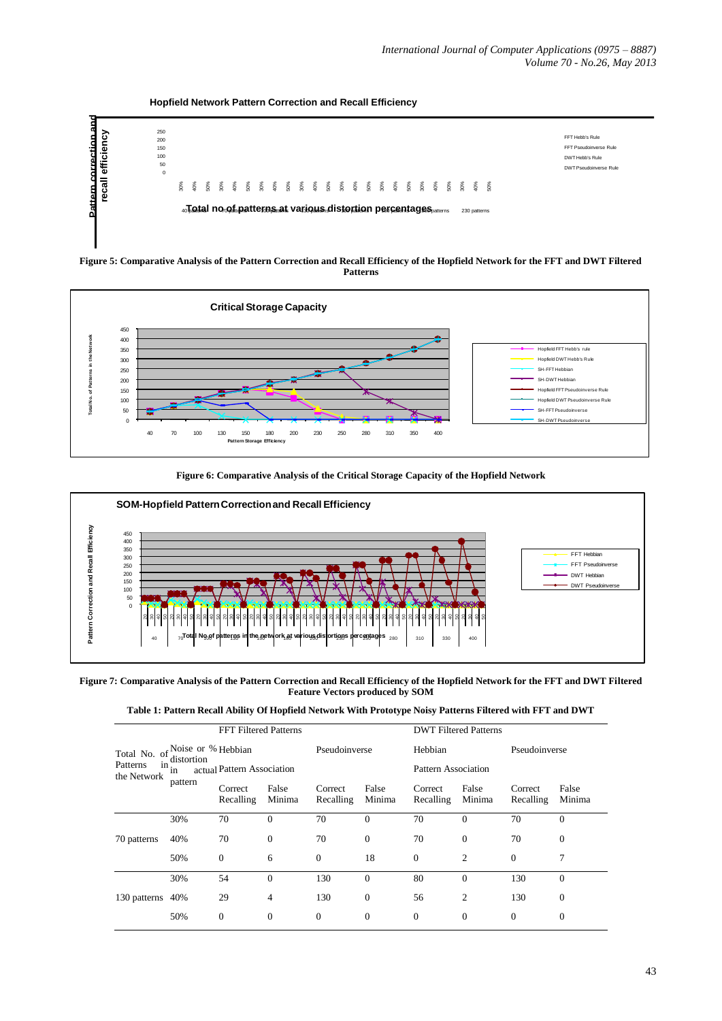**Hopfield Network Pattern Correction and Recall Efficiency**



**Figure 5: Comparative Analysis of the Pattern Correction and Recall Efficiency of the Hopfield Network for the FFT and DWT Filtered Patterns**









| Table 1: Pattern Recall Ability Of Hopfield Network With Prototype Noisy Patterns Filtered with FFT and DWT |  |  |  |  |
|-------------------------------------------------------------------------------------------------------------|--|--|--|--|
|-------------------------------------------------------------------------------------------------------------|--|--|--|--|

|                                               | <b>FFT Filtered Patterns</b> |                            |                 |                      |                 | <b>DWT Filtered Patterns</b> |                 |                      |                 |  |
|-----------------------------------------------|------------------------------|----------------------------|-----------------|----------------------|-----------------|------------------------------|-----------------|----------------------|-----------------|--|
| Total No. of Noise or % Hebbian<br>distortion |                              |                            | Pseudoinverse   |                      | Hebbian         |                              | Pseudoinverse   |                      |                 |  |
| Patterns<br>the Network                       | $1n$ .<br>1n<br>pattern      | actual Pattern Association |                 |                      |                 | Pattern Association          |                 |                      |                 |  |
|                                               |                              | Correct<br>Recalling       | False<br>Minima | Correct<br>Recalling | False<br>Minima | Correct<br>Recalling         | False<br>Minima | Correct<br>Recalling | False<br>Minima |  |
| 70 patterns                                   | 30%                          | 70                         | $\overline{0}$  | 70                   | $\overline{0}$  | 70                           | $\overline{0}$  | 70                   | $\theta$        |  |
|                                               | 40%                          | 70                         | $\overline{0}$  | 70                   | $\mathbf{0}$    | 70                           | $\Omega$        | 70                   | $\theta$        |  |
|                                               | 50%                          | $\mathbf{0}$               | 6               | $\mathbf{0}$         | 18              | $\mathbf{0}$                 | 2               | $\mathbf{0}$         | 7               |  |
| 130 patterns                                  | 30%                          | 54                         | $\Omega$        | 130                  | $\overline{0}$  | 80                           | $\theta$        | 130                  | $\theta$        |  |
|                                               | 40%                          | 29                         | 4               | 130                  | $\mathbf{0}$    | 56                           | 2               | 130                  | $\overline{0}$  |  |
|                                               | 50%                          | $\mathbf{0}$               | $\mathbf{0}$    | $\mathbf{0}$         | $\mathbf{0}$    | $\mathbf{0}$                 | $\Omega$        | $\overline{0}$       | $\theta$        |  |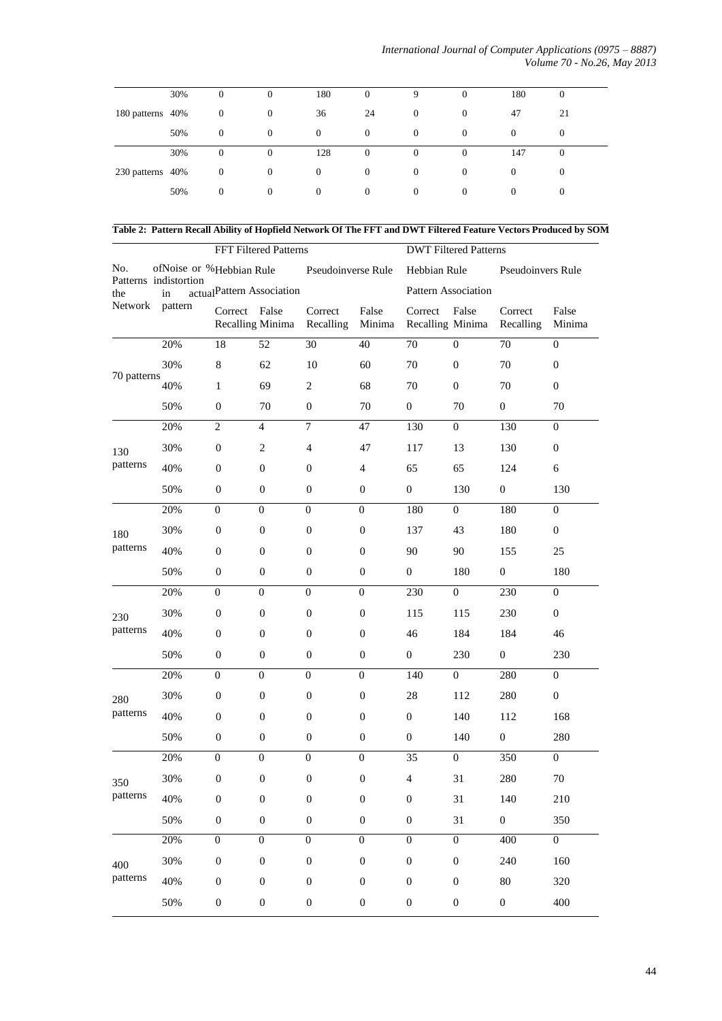|                  | 30% | $\mathbf{0}$     | $\mathbf{0}$   | 180      | $\mathbf{0}$     | 9            | $\theta$     | 180      | $\theta$ |
|------------------|-----|------------------|----------------|----------|------------------|--------------|--------------|----------|----------|
| 180 patterns 40% |     | $\mathbf{0}$     | $\overline{0}$ | 36       | 24               | $\theta$     | $\mathbf{0}$ | 47       | 21       |
|                  | 50% | $\mathbf{0}$     | $\theta$       | $\theta$ | $\theta$         | $\theta$     | $\theta$     | $\theta$ | $\theta$ |
|                  | 30% | $\theta$         | $\overline{0}$ | 128      | $\mathbf{0}$     | $\mathbf{0}$ | $\theta$     | 147      | $\theta$ |
| 230 patterns 40% |     | $\mathbf{0}$     | 0              | $\theta$ | $\mathbf{0}$     | $\theta$     | $\theta$     | $\Omega$ | $\theta$ |
|                  | 50% | $\boldsymbol{0}$ | $\theta$       | $\theta$ | $\boldsymbol{0}$ | $\theta$     | $\mathbf{0}$ | $\theta$ | $\theta$ |

**Table 2: Pattern Recall Ability of Hopfield Network Of The FFT and DWT Filtered Feature Vectors Produced by SOM**

|                                                |         |                           | FFT Filtered Patterns |                      |                  | <b>DWT Filtered Patterns</b>      |                  |                      |                  |
|------------------------------------------------|---------|---------------------------|-----------------------|----------------------|------------------|-----------------------------------|------------------|----------------------|------------------|
| No.<br>Patterns indistortion<br>the<br>Network |         | ofNoise or %Hebbian Rule  |                       | Pseudoinverse Rule   |                  | Hebbian Rule<br>Pseudoinvers Rule |                  |                      |                  |
|                                                | in      | actualPattern Association |                       |                      |                  | Pattern Association               |                  |                      |                  |
|                                                | pattern | Correct False             | Recalling Minima      | Correct<br>Recalling | False<br>Minima  | Correct<br>Recalling Minima       | False            | Correct<br>Recalling | False<br>Minima  |
|                                                | 20%     | 18                        | 52                    | 30                   | 40               | 70                                | $\overline{0}$   | 70                   | $\mathbf{0}$     |
|                                                | 30%     | $\,8\,$                   | 62                    | 10                   | 60               | $70\,$                            | $\boldsymbol{0}$ | 70                   | $\boldsymbol{0}$ |
| 70 patterns                                    | 40%     | $\mathbf{1}$              | 69                    | $\overline{c}$       | 68               | 70                                | $\mathbf{0}$     | 70                   | $\mathbf{0}$     |
|                                                | 50%     | $\mathbf{0}$              | 70                    | $\mathbf{0}$         | 70               | $\boldsymbol{0}$                  | 70               | $\mathbf{0}$         | 70               |
|                                                | 20%     | $\overline{2}$            | 4                     | 7                    | 47               | 130                               | $\mathbf{0}$     | 130                  | $\mathbf{0}$     |
| 130                                            | 30%     | $\boldsymbol{0}$          | $\mathbf{2}$          | $\overline{4}$       | 47               | 117                               | 13               | 130                  | $\boldsymbol{0}$ |
| patterns                                       | 40%     | $\mathbf{0}$              | $\mathbf{0}$          | $\mathbf{0}$         | $\overline{4}$   | 65                                | 65               | 124                  | 6                |
|                                                | 50%     | $\mathbf{0}$              | $\boldsymbol{0}$      | $\mathbf{0}$         | $\boldsymbol{0}$ | $\mathbf{0}$                      | 130              | $\boldsymbol{0}$     | 130              |
|                                                | 20%     | $\boldsymbol{0}$          | $\boldsymbol{0}$      | $\boldsymbol{0}$     | $\boldsymbol{0}$ | 180                               | $\mathbf{0}$     | 180                  | $\boldsymbol{0}$ |
| 180                                            | 30%     | $\mathbf{0}$              | $\boldsymbol{0}$      | $\boldsymbol{0}$     | $\boldsymbol{0}$ | 137                               | 43               | 180                  | $\mathbf{0}$     |
| patterns                                       | 40%     | $\mathbf{0}$              | $\boldsymbol{0}$      | $\mathbf{0}$         | $\boldsymbol{0}$ | 90                                | 90               | 155                  | 25               |
|                                                | 50%     | $\mathbf{0}$              | $\mathbf{0}$          | $\mathbf{0}$         | $\boldsymbol{0}$ | $\boldsymbol{0}$                  | 180              | $\boldsymbol{0}$     | 180              |
|                                                | 20%     | $\boldsymbol{0}$          | $\boldsymbol{0}$      | $\boldsymbol{0}$     | $\boldsymbol{0}$ | 230                               | $\boldsymbol{0}$ | 230                  | $\mathbf{0}$     |
| 230                                            | 30%     | $\mathbf{0}$              | $\boldsymbol{0}$      | $\mathbf{0}$         | $\boldsymbol{0}$ | 115                               | 115              | 230                  | $\boldsymbol{0}$ |
| patterns                                       | 40%     | $\mathbf{0}$              | $\mathbf{0}$          | $\mathbf{0}$         | $\boldsymbol{0}$ | 46                                | 184              | 184                  | 46               |
|                                                | 50%     | $\mathbf{0}$              | $\mathbf{0}$          | $\mathbf{0}$         | $\boldsymbol{0}$ | $\boldsymbol{0}$                  | 230              | $\boldsymbol{0}$     | 230              |
|                                                | 20%     | $\boldsymbol{0}$          | $\mathbf{0}$          | $\boldsymbol{0}$     | $\boldsymbol{0}$ | 140                               | $\boldsymbol{0}$ | 280                  | $\mathbf{0}$     |
| 280                                            | 30%     | $\mathbf{0}$              | $\boldsymbol{0}$      | $\mathbf{0}$         | $\boldsymbol{0}$ | $28\,$                            | 112              | 280                  | $\boldsymbol{0}$ |
| patterns                                       | 40%     | $\boldsymbol{0}$          | $\mathbf{0}$          | $\mathbf{0}$         | $\boldsymbol{0}$ | $\overline{0}$                    | 140              | 112                  | 168              |
|                                                | 50%     | $\mathbf{0}$              | $\boldsymbol{0}$      | $\mathbf{0}$         | $\boldsymbol{0}$ | $\boldsymbol{0}$                  | 140              | $\boldsymbol{0}$     | 280              |
|                                                | 20%     | $\boldsymbol{0}$          | $\mathbf{0}$          | $\mathbf{0}$         | $\boldsymbol{0}$ | 35                                | $\boldsymbol{0}$ | 350                  | $\overline{0}$   |
| 350                                            | 30%     | $\boldsymbol{0}$          | $\boldsymbol{0}$      | $\boldsymbol{0}$     | $\boldsymbol{0}$ | $\overline{4}$                    | 31               | 280                  | 70               |
| patterns                                       | 40%     | $\boldsymbol{0}$          | $\boldsymbol{0}$      | $\boldsymbol{0}$     | $\boldsymbol{0}$ | $\boldsymbol{0}$                  | 31               | 140                  | 210              |
|                                                | 50%     | $\boldsymbol{0}$          | $\boldsymbol{0}$      | $\boldsymbol{0}$     | $\boldsymbol{0}$ | $\boldsymbol{0}$                  | 31               | $\boldsymbol{0}$     | 350              |
|                                                | 20%     | $\boldsymbol{0}$          | $\overline{0}$        | $\boldsymbol{0}$     | $\boldsymbol{0}$ | $\boldsymbol{0}$                  | $\boldsymbol{0}$ | 400                  | $\overline{0}$   |
| 400                                            | 30%     | $\boldsymbol{0}$          | $\boldsymbol{0}$      | $\boldsymbol{0}$     | $\boldsymbol{0}$ | $\boldsymbol{0}$                  | $\boldsymbol{0}$ | 240                  | 160              |
| patterns                                       | 40%     | $\boldsymbol{0}$          | $\boldsymbol{0}$      | $\boldsymbol{0}$     | $\boldsymbol{0}$ | $\boldsymbol{0}$                  | $\boldsymbol{0}$ | 80                   | 320              |
|                                                | 50%     | $\boldsymbol{0}$          | $\boldsymbol{0}$      | $\boldsymbol{0}$     | $\boldsymbol{0}$ | $\boldsymbol{0}$                  | $\boldsymbol{0}$ | $\boldsymbol{0}$     | 400              |
|                                                |         |                           |                       |                      |                  |                                   |                  |                      |                  |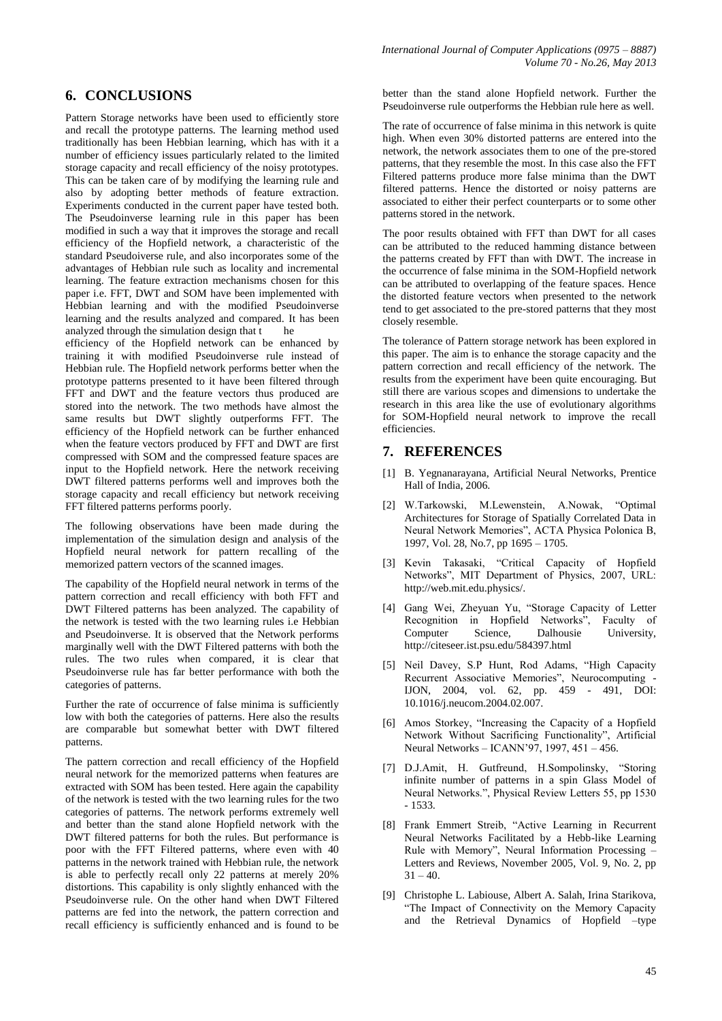# **6. CONCLUSIONS**

Pattern Storage networks have been used to efficiently store and recall the prototype patterns. The learning method used traditionally has been Hebbian learning, which has with it a number of efficiency issues particularly related to the limited storage capacity and recall efficiency of the noisy prototypes. This can be taken care of by modifying the learning rule and also by adopting better methods of feature extraction. Experiments conducted in the current paper have tested both. The Pseudoinverse learning rule in this paper has been modified in such a way that it improves the storage and recall efficiency of the Hopfield network, a characteristic of the standard Pseudoiverse rule, and also incorporates some of the advantages of Hebbian rule such as locality and incremental learning. The feature extraction mechanisms chosen for this paper i.e. FFT, DWT and SOM have been implemented with Hebbian learning and with the modified Pseudoinverse learning and the results analyzed and compared. It has been analyzed through the simulation design that  $t$  he efficiency of the Hopfield network can be enhanced by

training it with modified Pseudoinverse rule instead of Hebbian rule. The Hopfield network performs better when the prototype patterns presented to it have been filtered through FFT and DWT and the feature vectors thus produced are stored into the network. The two methods have almost the same results but DWT slightly outperforms FFT. The efficiency of the Hopfield network can be further enhanced when the feature vectors produced by FFT and DWT are first compressed with SOM and the compressed feature spaces are input to the Hopfield network. Here the network receiving DWT filtered patterns performs well and improves both the storage capacity and recall efficiency but network receiving FFT filtered patterns performs poorly.

The following observations have been made during the implementation of the simulation design and analysis of the Hopfield neural network for pattern recalling of the memorized pattern vectors of the scanned images.

The capability of the Hopfield neural network in terms of the pattern correction and recall efficiency with both FFT and DWT Filtered patterns has been analyzed. The capability of the network is tested with the two learning rules i.e Hebbian and Pseudoinverse. It is observed that the Network performs marginally well with the DWT Filtered patterns with both the rules. The two rules when compared, it is clear that Pseudoinverse rule has far better performance with both the categories of patterns.

Further the rate of occurrence of false minima is sufficiently low with both the categories of patterns. Here also the results are comparable but somewhat better with DWT filtered patterns.

The pattern correction and recall efficiency of the Hopfield neural network for the memorized patterns when features are extracted with SOM has been tested. Here again the capability of the network is tested with the two learning rules for the two categories of patterns. The network performs extremely well and better than the stand alone Hopfield network with the DWT filtered patterns for both the rules. But performance is poor with the FFT Filtered patterns, where even with 40 patterns in the network trained with Hebbian rule, the network is able to perfectly recall only 22 patterns at merely 20% distortions. This capability is only slightly enhanced with the Pseudoinverse rule. On the other hand when DWT Filtered patterns are fed into the network, the pattern correction and recall efficiency is sufficiently enhanced and is found to be

better than the stand alone Hopfield network. Further the Pseudoinverse rule outperforms the Hebbian rule here as well.

The rate of occurrence of false minima in this network is quite high. When even 30% distorted patterns are entered into the network, the network associates them to one of the pre-stored patterns, that they resemble the most. In this case also the FFT Filtered patterns produce more false minima than the DWT filtered patterns. Hence the distorted or noisy patterns are associated to either their perfect counterparts or to some other patterns stored in the network.

The poor results obtained with FFT than DWT for all cases can be attributed to the reduced hamming distance between the patterns created by FFT than with DWT. The increase in the occurrence of false minima in the SOM-Hopfield network can be attributed to overlapping of the feature spaces. Hence the distorted feature vectors when presented to the network tend to get associated to the pre-stored patterns that they most closely resemble.

The tolerance of Pattern storage network has been explored in this paper. The aim is to enhance the storage capacity and the pattern correction and recall efficiency of the network. The results from the experiment have been quite encouraging. But still there are various scopes and dimensions to undertake the research in this area like the use of evolutionary algorithms for SOM-Hopfield neural network to improve the recall efficiencies.

## **7. REFERENCES**

- [1] B. Yegnanarayana, Artificial Neural Networks, Prentice Hall of India, 2006.
- [2] W.Tarkowski, M.Lewenstein, A.Nowak, "Optimal Architectures for Storage of Spatially Correlated Data in Neural Network Memories", ACTA Physica Polonica B, 1997, Vol. 28, No.7, pp 1695 – 1705.
- [3] [Kevin Takasaki, "Critical Capacity of Hopfield](http://web.mit.edu.physics/)  [Networks", MIT Department of Physics, 2007, URL:](http://web.mit.edu.physics/)  [http://web.mit.edu.physics/.](http://web.mit.edu.physics/)
- [4] [Gang Wei, Zheyuan Yu, "Storage Capacity of Letter](http://citeseer.ist.psu.edu/584397.html)  [Recognition in Hopfield Networks", Faculty of](http://citeseer.ist.psu.edu/584397.html)  [Computer Science, Dalhousie University,](http://citeseer.ist.psu.edu/584397.html)  <http://citeseer.ist.psu.edu/584397.html>
- [5] Neil Davey, S.P Hunt, Rod Adams, "High Capacity Recurrent Associative Memories", Neurocomputing - IJON, 2004, vol. 62, pp. 459 - 491, DOI: 10.1016/j.neucom.2004.02.007.
- [6] Amos Storkey, "Increasing the Capacity of a Hopfield Network Without Sacrificing Functionality", Artificial Neural Networks – ICANN'97, 1997, 451 – 456.
- [7] D.J.Amit, H. Gutfreund, H.Sompolinsky, "Storing infinite number of patterns in a spin Glass Model of Neural Networks.", Physical Review Letters 55, pp 1530 - 1533.
- [8] Frank Emmert Streib, "Active Learning in Recurrent Neural Networks Facilitated by a Hebb-like Learning Rule with Memory", Neural Information Processing – Letters and Reviews, November 2005, Vol. 9, No. 2, pp  $31 - 40.$
- [9] Christophe L. Labiouse, Albert A. Salah, Irina Starikova, "The Impact of Connectivity on the Memory Capacity and the Retrieval Dynamics of Hopfield –type